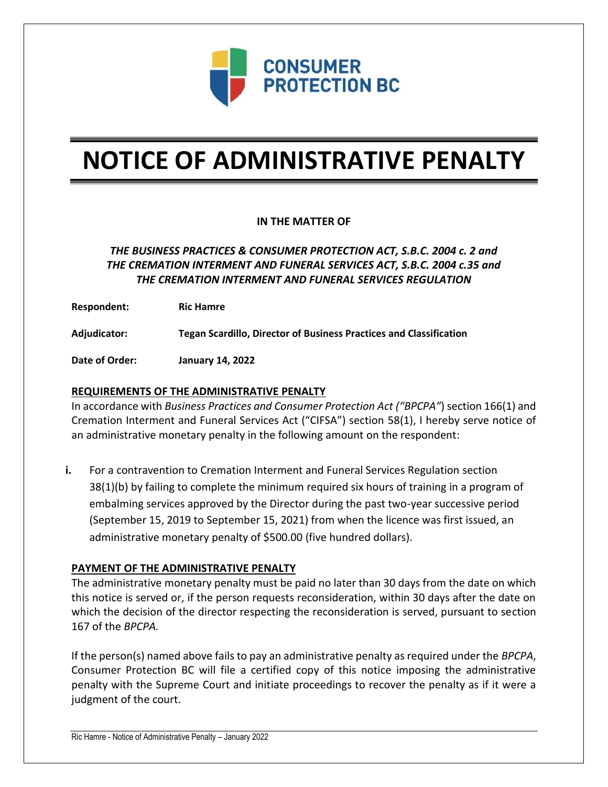

# **NOTICE OF ADMINISTRATIVE PENALTY**

## **IN THE MATTER OF**

# *THE BUSINESS PRACTICES & CONSUMER PROTECTION ACT, S.B.C. 2004 c. 2 and THE CREMATION INTERMENT AND FUNERAL SERVICES ACT, S.B.C. 2004 c.35 and THE CREMATION INTERMENT AND FUNERAL SERVICES REGULATION*

**Respondent: Ric Hamre**

**Adjudicator: Tegan Scardillo, Director of Business Practices and Classification**

**Date of Order: January 14, 2022**

## **REQUIREMENTS OF THE ADMINISTRATIVE PENALTY**

In accordance with *Business Practices and Consumer Protection Act ("BPCPA"*) section 166(1) and Cremation Interment and Funeral Services Act ("CIFSA") section 58(1), I hereby serve notice of an administrative monetary penalty in the following amount on the respondent:

**i.** For a contravention to Cremation Interment and Funeral Services Regulation section 38(1)(b) by failing to complete the minimum required six hours of training in a program of embalming services approved by the Director during the past two-year successive period (September 15, 2019 to September 15, 2021) from when the licence was first issued, an administrative monetary penalty of \$500.00 (five hundred dollars).

#### **PAYMENT OF THE ADMINISTRATIVE PENALTY**

The administrative monetary penalty must be paid no later than 30 days from the date on which this notice is served or, if the person requests reconsideration, within 30 days after the date on which the decision of the director respecting the reconsideration is served, pursuant to section 167 of the *BPCPA.* 

If the person(s) named above fails to pay an administrative penalty as required under the *BPCPA*, Consumer Protection BC will file a certified copy of this notice imposing the administrative penalty with the Supreme Court and initiate proceedings to recover the penalty as if it were a judgment of the court.